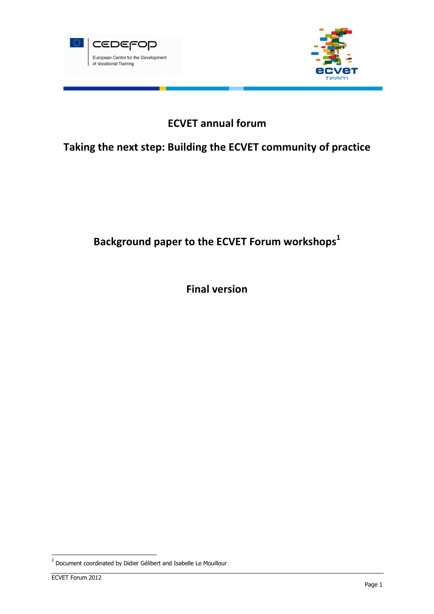



# ECVET annual forum

# Taking the next step: Building the ECVET community of practice

# Background paper to the ECVET Forum workshops<sup>1</sup>

Final version

 $<sup>1</sup>$  Document coordinated by Didier Gélibert and Isabelle Le Mouillour</sup>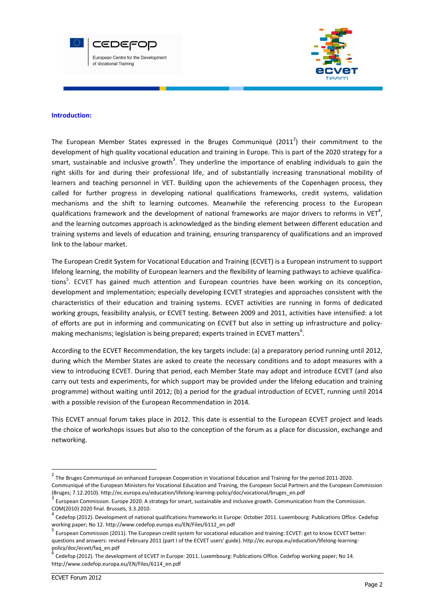



#### Introduction:

The European Member States expressed in the Bruges Communiqué (2011<sup>2</sup>) their commitment to the development of high quality vocational education and training in Europe. This is part of the 2020 strategy for a smart, sustainable and inclusive growth<sup>3</sup>. They underline the importance of enabling individuals to gain the right skills for and during their professional life, and of substantially increasing transnational mobility of learners and teaching personnel in VET. Building upon the achievements of the Copenhagen process, they called for further progress in developing national qualifications frameworks, credit systems, validation mechanisms and the shift to learning outcomes. Meanwhile the referencing process to the European qualifications framework and the development of national frameworks are major drivers to reforms in VET<sup>4</sup>, and the learning outcomes approach is acknowledged as the binding element between different education and training systems and levels of education and training, ensuring transparency of qualifications and an improved link to the labour market.

The European Credit System for Vocational Education and Training (ECVET) is a European instrument to support lifelong learning, the mobility of European learners and the flexibility of learning pathways to achieve qualifications<sup>5</sup>. ECVET has gained much attention and European countries have been working on its conception, development and implementation; especially developing ECVET strategies and approaches consistent with the characteristics of their education and training systems. ECVET activities are running in forms of dedicated working groups, feasibility analysis, or ECVET testing. Between 2009 and 2011, activities have intensified: a lot of efforts are put in informing and communicating on ECVET but also in setting up infrastructure and policymaking mechanisms; legislation is being prepared; experts trained in ECVET matters<sup>6</sup>.

According to the ECVET Recommendation, the key targets include: (a) a preparatory period running until 2012, during which the Member States are asked to create the necessary conditions and to adopt measures with a view to introducing ECVET. During that period, each Member State may adopt and introduce ECVET (and also carry out tests and experiments, for which support may be provided under the lifelong education and training programme) without waiting until 2012; (b) a period for the gradual introduction of ECVET, running until 2014 with a possible revision of the European Recommendation in 2014.

This ECVET annual forum takes place in 2012. This date is essential to the European ECVET project and leads the choice of workshops issues but also to the conception of the forum as a place for discussion, exchange and networking.

<sup>&</sup>lt;sup>2</sup> The Bruges Communiqué on enhanced European Cooperation in Vocational Education and Training for the period 2011-2020. Communiqué of the European Ministers for Vocational Education and Training, the European Social Partners and the European Commission (Bruges; 7.12.2010). http://ec.europa.eu/education/lifelong-learning-policy/doc/vocational/bruges\_en.pdf

<sup>3</sup> European Commission. Europe 2020. A strategy for smart, sustainable and inclusive growth. Communication from the Commission. COM(2010) 2020 final. Brussels, 3.3.2010.

<sup>&</sup>lt;sup>4</sup> Cedefop (2012). Development of national qualifications frameworks in Europe: October 2011. Luxembourg: Publications Office. Cedefop working paper; No 12. http://www.cedefop.europa.eu/EN/Files/6112\_en.pdf

<sup>5</sup> European Commission (2011). The European credit system for vocational education and training: ECVET: get to know ECVET better: questions and answers: revised February 2011 (part I of the ECVET users' guide). http://ec.europa.eu/education/lifelong-learningpolicy/doc/ecvet/faq\_en.pdf

Cedefop (2012). The development of ECVET in Europe: 2011. Luxembourg: Publications Office. Cedefop working paper; No 14. http://www.cedefop.europa.eu/EN/Files/6114\_en.pdf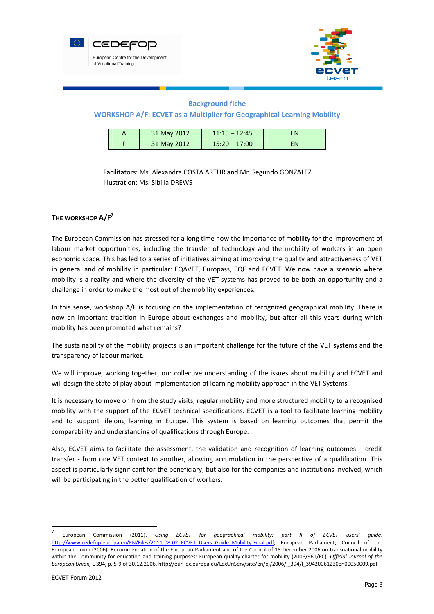



# Background fiche

# WORKSHOP A/F: ECVET as a Multiplier for Geographical Learning Mobility

|  | 31 May 2012 | $11:15 - 12:45$ | FN |
|--|-------------|-----------------|----|
|  | 31 May 2012 | $15:20 - 17:00$ | FN |

Facilitators: Ms. Alexandra COSTA ARTUR and Mr. Segundo GONZALEZ Illustration: Ms. Sibilla DREWS

# THE WORKSHOP  $A/F<sup>7</sup>$

The European Commission has stressed for a long time now the importance of mobility for the improvement of labour market opportunities, including the transfer of technology and the mobility of workers in an open economic space. This has led to a series of initiatives aiming at improving the quality and attractiveness of VET in general and of mobility in particular: EQAVET, Europass, EQF and ECVET. We now have a scenario where mobility is a reality and where the diversity of the VET systems has proved to be both an opportunity and a challenge in order to make the most out of the mobility experiences.

In this sense, workshop A/F is focusing on the implementation of recognized geographical mobility. There is now an important tradition in Europe about exchanges and mobility, but after all this years during which mobility has been promoted what remains?

The sustainability of the mobility projects is an important challenge for the future of the VET systems and the transparency of labour market.

We will improve, working together, our collective understanding of the issues about mobility and ECVET and will design the state of play about implementation of learning mobility approach in the VET Systems.

It is necessary to move on from the study visits, regular mobility and more structured mobility to a recognised mobility with the support of the ECVET technical specifications. ECVET is a tool to facilitate learning mobility and to support lifelong learning in Europe. This system is based on learning outcomes that permit the comparability and understanding of qualifications through Europe.

Also, ECVET aims to facilitate the assessment, the validation and recognition of learning outcomes – credit transfer - from one VET context to another, allowing accumulation in the perspective of a qualification. This aspect is particularly significant for the beneficiary, but also for the companies and institutions involved, which will be participating in the better qualification of workers.

<sup>7</sup> European Commission (2011). Using ECVET for geographical mobility: part II of ECVET users' guide. http://www.cedefop.europa.eu/EN/Files/2011-08-02 ECVET Users Guide Mobility-Final.pdf; European Parliament; Council of the European Union (2006). Recommendation of the European Parliament and of the Council of 18 December 2006 on transnational mobility within the Community for education and training purposes: European quality charter for mobility (2006/961/EC). Official Journal of the European Union, L 394, p. 5-9 of 30.12.2006. http://eur-lex.europa.eu/LexUriServ/site/en/oj/2006/l\_394/l\_39420061230en00050009.pdf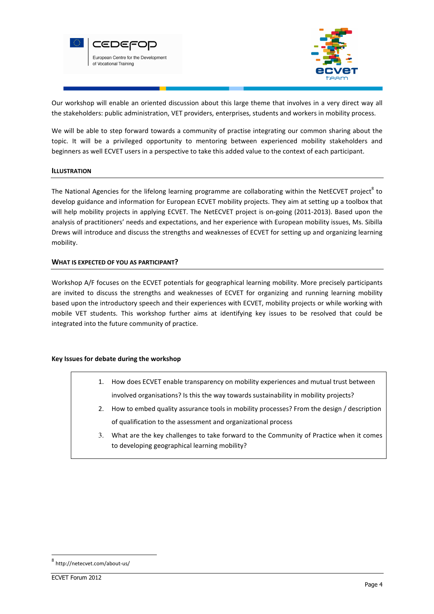



Our workshop will enable an oriented discussion about this large theme that involves in a very direct way all the stakeholders: public administration, VET providers, enterprises, students and workers in mobility process.

We will be able to step forward towards a community of practise integrating our common sharing about the topic. It will be a privileged opportunity to mentoring between experienced mobility stakeholders and beginners as well ECVET users in a perspective to take this added value to the context of each participant.

#### ILLUSTRATION

The National Agencies for the lifelong learning programme are collaborating within the NetECVET project<sup>8</sup> to develop guidance and information for European ECVET mobility projects. They aim at setting up a toolbox that will help mobility projects in applying ECVET. The NetECVET project is on-going (2011-2013). Based upon the analysis of practitioners' needs and expectations, and her experience with European mobility issues, Ms. Sibilla Drews will introduce and discuss the strengths and weaknesses of ECVET for setting up and organizing learning mobility.

#### WHAT IS EXPECTED OF YOU AS PARTICIPANT?

Workshop A/F focuses on the ECVET potentials for geographical learning mobility. More precisely participants are invited to discuss the strengths and weaknesses of ECVET for organizing and running learning mobility based upon the introductory speech and their experiences with ECVET, mobility projects or while working with mobile VET students. This workshop further aims at identifying key issues to be resolved that could be integrated into the future community of practice.

#### Key Issues for debate during the workshop

- 1. How does ECVET enable transparency on mobility experiences and mutual trust between involved organisations? Is this the way towards sustainability in mobility projects?
- 2. How to embed quality assurance tools in mobility processes? From the design / description of qualification to the assessment and organizational process
- 3. What are the key challenges to take forward to the Community of Practice when it comes to developing geographical learning mobility?

<sup>8</sup> http://netecvet.com/about-us/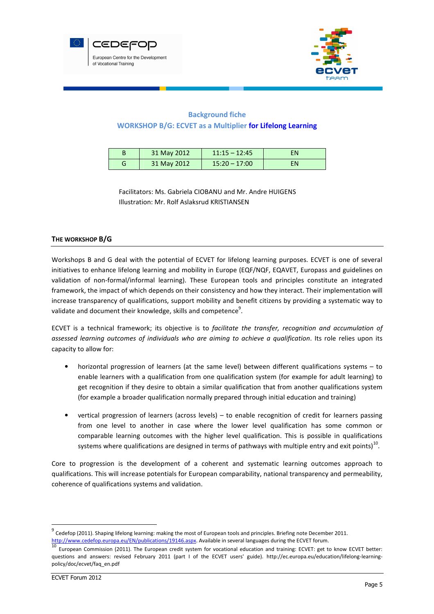



# Background fiche WORKSHOP B/G: ECVET as a Multiplier for Lifelong Learning

| 31 May 2012 | $11:15 - 12:45$ | FN |
|-------------|-----------------|----|
| 31 May 2012 | $15:20 - 17:00$ | ΕN |

Facilitators: Ms. Gabriela CIOBANU and Mr. Andre HUIGENS Illustration: Mr. Rolf Aslaksrud KRISTIANSEN

## THE WORKSHOP B/G

Workshops B and G deal with the potential of ECVET for lifelong learning purposes. ECVET is one of several initiatives to enhance lifelong learning and mobility in Europe (EQF/NQF, EQAVET, Europass and guidelines on validation of non-formal/informal learning). These European tools and principles constitute an integrated framework, the impact of which depends on their consistency and how they interact. Their implementation will increase transparency of qualifications, support mobility and benefit citizens by providing a systematic way to validate and document their knowledge, skills and competence $9$ .

ECVET is a technical framework; its objective is to facilitate the transfer, recognition and accumulation of assessed learning outcomes of individuals who are aiming to achieve a qualification. Its role relies upon its capacity to allow for:

- horizontal progression of learners (at the same level) between different qualifications systems to enable learners with a qualification from one qualification system (for example for adult learning) to get recognition if they desire to obtain a similar qualification that from another qualifications system (for example a broader qualification normally prepared through initial education and training)
- vertical progression of learners (across levels) to enable recognition of credit for learners passing from one level to another in case where the lower level qualification has some common or comparable learning outcomes with the higher level qualification. This is possible in qualifications systems where qualifications are designed in terms of pathways with multiple entry and exit points)<sup>10</sup>.

Core to progression is the development of a coherent and systematic learning outcomes approach to qualifications. This will increase potentials for European comparability, national transparency and permeability, coherence of qualifications systems and validation.

<sup>&</sup>lt;sup>9</sup> Cedefop (2011). Shaping lifelong learning: making the most of European tools and principles. Briefing note December 2011. http://www.cedefop.europa.eu/EN/publications/19146.aspx. Available in several languages during the ECVET forum.

<sup>10</sup> European Commission (2011). The European credit system for vocational education and training: ECVET: get to know ECVET better: questions and answers: revised February 2011 (part I of the ECVET users' guide). http://ec.europa.eu/education/lifelong-learningpolicy/doc/ecvet/faq\_en.pdf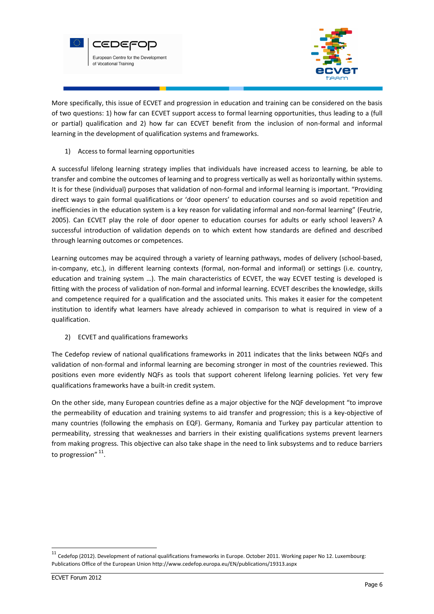



More specifically, this issue of ECVET and progression in education and training can be considered on the basis of two questions: 1) how far can ECVET support access to formal learning opportunities, thus leading to a (full or partial) qualification and 2) how far can ECVET benefit from the inclusion of non-formal and informal learning in the development of qualification systems and frameworks.

1) Access to formal learning opportunities

A successful lifelong learning strategy implies that individuals have increased access to learning, be able to transfer and combine the outcomes of learning and to progress vertically as well as horizontally within systems. It is for these (individual) purposes that validation of non-formal and informal learning is important. "Providing direct ways to gain formal qualifications or 'door openers' to education courses and so avoid repetition and inefficiencies in the education system is a key reason for validating informal and non-formal learning" (Feutrie, 2005). Can ECVET play the role of door opener to education courses for adults or early school leavers? A successful introduction of validation depends on to which extent how standards are defined and described through learning outcomes or competences.

Learning outcomes may be acquired through a variety of learning pathways, modes of delivery (school-based, in-company, etc.), in different learning contexts (formal, non-formal and informal) or settings (i.e. country, education and training system …). The main characteristics of ECVET, the way ECVET testing is developed is fitting with the process of validation of non-formal and informal learning. ECVET describes the knowledge, skills and competence required for a qualification and the associated units. This makes it easier for the competent institution to identify what learners have already achieved in comparison to what is required in view of a qualification.

2) ECVET and qualifications frameworks

The Cedefop review of national qualifications frameworks in 2011 indicates that the links between NQFs and validation of non-formal and informal learning are becoming stronger in most of the countries reviewed. This positions even more evidently NQFs as tools that support coherent lifelong learning policies. Yet very few qualifications frameworks have a built-in credit system.

On the other side, many European countries define as a major objective for the NQF development "to improve the permeability of education and training systems to aid transfer and progression; this is a key-objective of many countries (following the emphasis on EQF). Germany, Romania and Turkey pay particular attention to permeability, stressing that weaknesses and barriers in their existing qualifications systems prevent learners from making progress. This objective can also take shape in the need to link subsystems and to reduce barriers to progression" <sup>11</sup>.

 $11$  Cedefop (2012). Development of national qualifications frameworks in Europe. October 2011. Working paper No 12. Luxembourg: Publications Office of the European Union http://www.cedefop.europa.eu/EN/publications/19313.aspx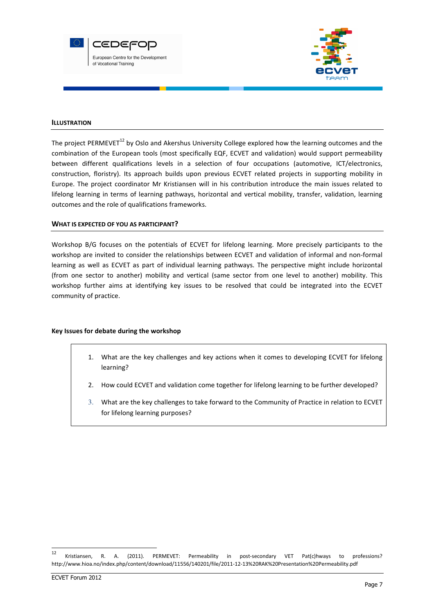



#### **ILLUSTRATION**

The project PERMEVET<sup>12</sup> by Oslo and Akershus University College explored how the learning outcomes and the combination of the European tools (most specifically EQF, ECVET and validation) would support permeability between different qualifications levels in a selection of four occupations (automotive, ICT/electronics, construction, floristry). Its approach builds upon previous ECVET related projects in supporting mobility in Europe. The project coordinator Mr Kristiansen will in his contribution introduce the main issues related to lifelong learning in terms of learning pathways, horizontal and vertical mobility, transfer, validation, learning outcomes and the role of qualifications frameworks.

#### WHAT IS EXPECTED OF YOU AS PARTICIPANT?

Workshop B/G focuses on the potentials of ECVET for lifelong learning. More precisely participants to the workshop are invited to consider the relationships between ECVET and validation of informal and non-formal learning as well as ECVET as part of individual learning pathways. The perspective might include horizontal (from one sector to another) mobility and vertical (same sector from one level to another) mobility. This workshop further aims at identifying key issues to be resolved that could be integrated into the ECVET community of practice.

#### Key Issues for debate during the workshop

- 1. What are the key challenges and key actions when it comes to developing ECVET for lifelong learning?
- 2. How could ECVET and validation come together for lifelong learning to be further developed?
- 3. What are the key challenges to take forward to the Community of Practice in relation to ECVET for lifelong learning purposes?

 $12$ Kristiansen, R. A. (2011). PERMEVET: Permeability in post-secondary VET Pat(c)hways to professions? http://www.hioa.no/index.php/content/download/11556/140201/file/2011-12-13%20RAK%20Presentation%20Permeability.pdf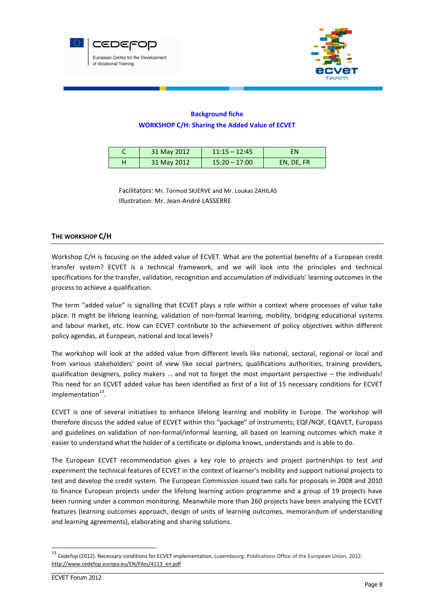



# Background fiche WORKSHOP C/H: Sharing the Added Value of ECVET

| 31 May 2012 | $11:15 - 12:45$ | FN         |
|-------------|-----------------|------------|
| 31 May 2012 | $15:20 - 17:00$ | EN, DE, FR |

Facilitators: Mr. Tormod SKJERVE and Mr. Loukas ZAHILAS Illustration: Mr. Jean-André LASSERRE

# THE WORKSHOP C/H

Workshop C/H is focusing on the added value of ECVET. What are the potential benefits of a European credit transfer system? ECVET is a technical framework, and we will look into the principles and technical specifications for the transfer, validation, recognition and accumulation of individuals' learning outcomes in the process to achieve a qualification.

The term "added value" is signalling that ECVET plays a role within a context where processes of value take place. It might be lifelong learning, validation of non-formal learning, mobility, bridging educational systems and labour market, etc. How can ECVET contribute to the achievement of policy objectives within different policy agendas, at European, national and local levels?

The workshop will look at the added value from different levels like national, sectoral, regional or local and from various stakeholders' point of view like social partners, qualifications authorities, training providers, qualification designers, policy makers … and not to forget the most important perspective – the individuals! This need for an ECVET added value has been identified as first of a list of 15 necessary conditions for ECVET implementation<sup>13</sup>.

ECVET is one of several initiatives to enhance lifelong learning and mobility in Europe. The workshop will therefore discuss the added value of ECVET within this "package" of instruments; EQF/NQF, EQAVET, Europass and guidelines on validation of non-formal/informal learning, all based on learning outcomes which make it easier to understand what the holder of a certificate or diploma knows, understands and is able to do.

The European ECVET recommendation gives a key role to projects and project partnerships to test and experiment the technical features of ECVET in the context of learner's mobility and support national projects to test and develop the credit system. The European Commission issued two calls for proposals in 2008 and 2010 to finance European projects under the lifelong learning action programme and a group of 19 projects have been running under a common monitoring. Meanwhile more than 260 projects have been analysing the ECVET features (learning outcomes approach, design of units of learning outcomes, memorandum of understanding and learning agreements), elaborating and sharing solutions.

<sup>13</sup> Cedefop (2012). Necessary conditions for ECVET implementation. Luxembourg: Publications Office of the European Union, 2012. http://www.cedefop.europa.eu/EN/Files/4113\_en.pdf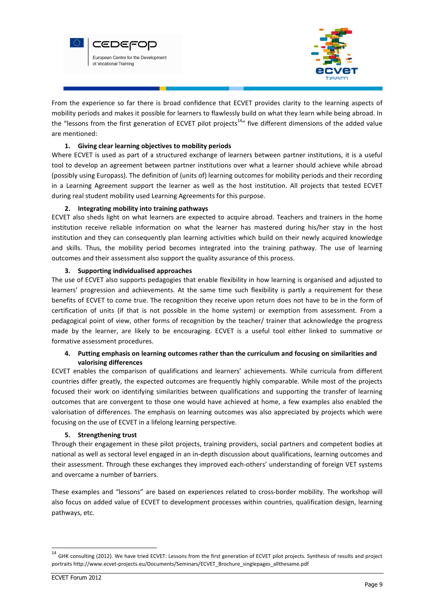



From the experience so far there is broad confidence that ECVET provides clarity to the learning aspects of mobility periods and makes it possible for learners to flawlessly build on what they learn while being abroad. In the "lessons from the first generation of ECVET pilot projects<sup>14</sup>" five different dimensions of the added value are mentioned:

## 1. Giving clear learning objectives to mobility periods

Where ECVET is used as part of a structured exchange of learners between partner institutions, it is a useful tool to develop an agreement between partner institutions over what a learner should achieve while abroad (possibly using Europass). The definition of (units of) learning outcomes for mobility periods and their recording in a Learning Agreement support the learner as well as the host institution. All projects that tested ECVET during real student mobility used Learning Agreements for this purpose.

## 2. Integrating mobility into training pathways

ECVET also sheds light on what learners are expected to acquire abroad. Teachers and trainers in the home institution receive reliable information on what the learner has mastered during his/her stay in the host institution and they can consequently plan learning activities which build on their newly acquired knowledge and skills. Thus, the mobility period becomes integrated into the training pathway. The use of learning outcomes and their assessment also support the quality assurance of this process.

#### 3. Supporting individualised approaches

The use of ECVET also supports pedagogies that enable flexibility in how learning is organised and adjusted to learners' progression and achievements. At the same time such flexibility is partly a requirement for these benefits of ECVET to come true. The recognition they receive upon return does not have to be in the form of certification of units (if that is not possible in the home system) or exemption from assessment. From a pedagogical point of view, other forms of recognition by the teacher/ trainer that acknowledge the progress made by the learner, are likely to be encouraging. ECVET is a useful tool either linked to summative or formative assessment procedures.

## 4. Putting emphasis on learning outcomes rather than the curriculum and focusing on similarities and valorising differences

ECVET enables the comparison of qualifications and learners' achievements. While curricula from different countries differ greatly, the expected outcomes are frequently highly comparable. While most of the projects focused their work on identifying similarities between qualifications and supporting the transfer of learning outcomes that are convergent to those one would have achieved at home, a few examples also enabled the valorisation of differences. The emphasis on learning outcomes was also appreciated by projects which were focusing on the use of ECVET in a lifelong learning perspective.

#### 5. Strengthening trust

Through their engagement in these pilot projects, training providers, social partners and competent bodies at national as well as sectoral level engaged in an in-depth discussion about qualifications, learning outcomes and their assessment. Through these exchanges they improved each-others' understanding of foreign VET systems and overcame a number of barriers.

These examples and "lessons" are based on experiences related to cross-border mobility. The workshop will also focus on added value of ECVET to development processes within countries, qualification design, learning pathways, etc.

<sup>&</sup>lt;sup>14</sup> GHK consulting (2012). We have tried ECVET: Lessons from the first generation of ECVET pilot projects. Synthesis of results and project portraits http://www.ecvet-projects.eu/Documents/Seminars/ECVET\_Brochure\_singlepages\_allthesame.pdf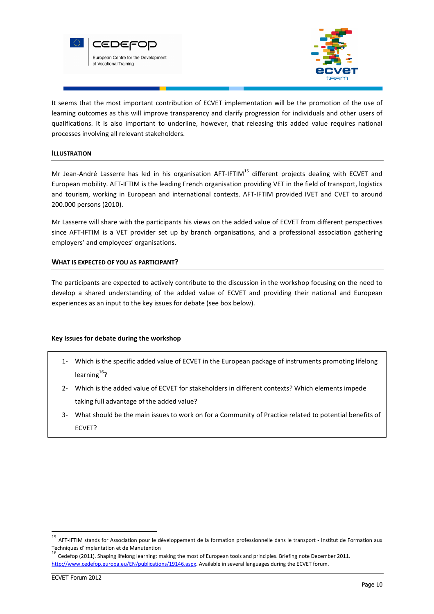



It seems that the most important contribution of ECVET implementation will be the promotion of the use of learning outcomes as this will improve transparency and clarify progression for individuals and other users of qualifications. It is also important to underline, however, that releasing this added value requires national processes involving all relevant stakeholders.

#### ILLUSTRATION

Mr Jean-André Lasserre has led in his organisation AFT-IFTIM<sup>15</sup> different projects dealing with ECVET and European mobility. AFT-IFTIM is the leading French organisation providing VET in the field of transport, logistics and tourism, working in European and international contexts. AFT-IFTIM provided IVET and CVET to around 200.000 persons (2010).

Mr Lasserre will share with the participants his views on the added value of ECVET from different perspectives since AFT-IFTIM is a VET provider set up by branch organisations, and a professional association gathering employers' and employees' organisations.

#### WHAT IS EXPECTED OF YOU AS PARTICIPANT?

The participants are expected to actively contribute to the discussion in the workshop focusing on the need to develop a shared understanding of the added value of ECVET and providing their national and European experiences as an input to the key issues for debate (see box below).

#### Key Issues for debate during the workshop

- 1- Which is the specific added value of ECVET in the European package of instruments promoting lifelong learning $^{16}$ ?
- 2- Which is the added value of ECVET for stakeholders in different contexts? Which elements impede taking full advantage of the added value?
- 3- What should be the main issues to work on for a Community of Practice related to potential benefits of ECVET?

<sup>15</sup> AFT-IFTIM stands for Association pour le développement de la formation professionnelle dans le transport - Institut de Formation aux Techniques d'Implantation et de Manutention<br><sup>16</sup> Cedefop (2011). Shaping lifelong learning: making the most of European tools and principles. Briefing note December 2011.

http://www.cedefop.europa.eu/EN/publications/19146.aspx. Available in several languages during the ECVET forum.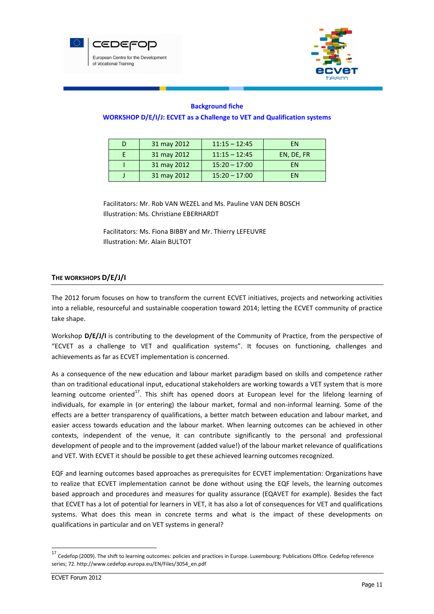



## Background fiche

#### WORKSHOP D/E/I/J: ECVET as a Challenge to VET and Qualification systems

| 31 may 2012 | $11:15 - 12:45$ | <b>FN</b>  |
|-------------|-----------------|------------|
| 31 may 2012 | $11:15 - 12:45$ | EN, DE, FR |
| 31 may 2012 | $15:20 - 17:00$ | FN         |
| 31 may 2012 | $15:20 - 17:00$ | FN         |

Facilitators: Mr. Rob VAN WEZEL and Ms. Pauline VAN DEN BOSCH Illustration: Ms. Christiane EBERHARDT

Facilitators: Ms. Fiona BIBBY and Mr. Thierry LEFEUVRE Illustration: Mr. Alain BULTOT

# THE WORKSHOPS D/E/J/I

The 2012 forum focuses on how to transform the current ECVET initiatives, projects and networking activities into a reliable, resourceful and sustainable cooperation toward 2014; letting the ECVET community of practice take shape.

Workshop D/E/J/I is contributing to the development of the Community of Practice, from the perspective of "ECVET as a challenge to VET and qualification systems". It focuses on functioning, challenges and achievements as far as ECVET implementation is concerned.

As a consequence of the new education and labour market paradigm based on skills and competence rather than on traditional educational input, educational stakeholders are working towards a VET system that is more learning outcome oriented<sup>17</sup>. This shift has opened doors at European level for the lifelong learning of individuals, for example in (or entering) the labour market, formal and non-informal learning. Some of the effects are a better transparency of qualifications, a better match between education and labour market, and easier access towards education and the labour market. When learning outcomes can be achieved in other contexts, independent of the venue, it can contribute significantly to the personal and professional development of people and to the improvement (added value!) of the labour market relevance of qualifications and VET. With ECVET it should be possible to get these achieved learning outcomes recognized.

EQF and learning outcomes based approaches as prerequisites for ECVET implementation: Organizations have to realize that ECVET implementation cannot be done without using the EQF levels, the learning outcomes based approach and procedures and measures for quality assurance (EQAVET for example). Besides the fact that ECVET has a lot of potential for learners in VET, it has also a lot of consequences for VET and qualifications systems. What does this mean in concrete terms and what is the impact of these developments on qualifications in particular and on VET systems in general?

<sup>&</sup>lt;sup>17</sup> Cedefop (2009). The shift to learning outcomes: policies and practices in Europe. Luxembourg: Publications Office. Cedefop reference series; 72. http://www.cedefop.europa.eu/EN/Files/3054\_en.pdf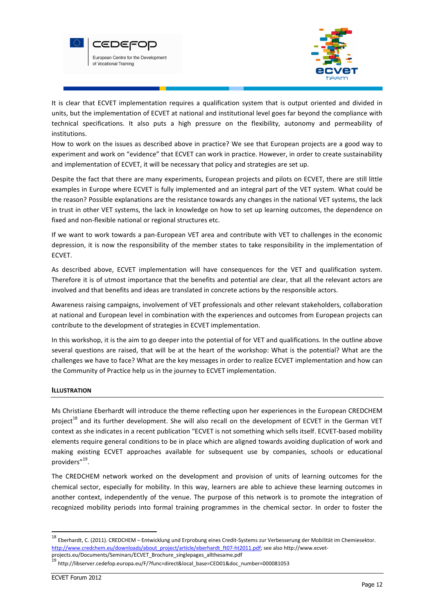



It is clear that ECVET implementation requires a qualification system that is output oriented and divided in units, but the implementation of ECVET at national and institutional level goes far beyond the compliance with technical specifications. It also puts a high pressure on the flexibility, autonomy and permeability of institutions.

How to work on the issues as described above in practice? We see that European projects are a good way to experiment and work on "evidence" that ECVET can work in practice. However, in order to create sustainability and implementation of ECVET, it will be necessary that policy and strategies are set up.

Despite the fact that there are many experiments, European projects and pilots on ECVET, there are still little examples in Europe where ECVET is fully implemented and an integral part of the VET system. What could be the reason? Possible explanations are the resistance towards any changes in the national VET systems, the lack in trust in other VET systems, the lack in knowledge on how to set up learning outcomes, the dependence on fixed and non-flexible national or regional structures etc.

If we want to work towards a pan-European VET area and contribute with VET to challenges in the economic depression, it is now the responsibility of the member states to take responsibility in the implementation of ECVET.

As described above, ECVET implementation will have consequences for the VET and qualification system. Therefore it is of utmost importance that the benefits and potential are clear, that all the relevant actors are involved and that benefits and ideas are translated in concrete actions by the responsible actors.

Awareness raising campaigns, involvement of VET professionals and other relevant stakeholders, collaboration at national and European level in combination with the experiences and outcomes from European projects can contribute to the development of strategies in ECVET implementation.

In this workshop, it is the aim to go deeper into the potential of for VET and qualifications. In the outline above several questions are raised, that will be at the heart of the workshop: What is the potential? What are the challenges we have to face? What are the key messages in order to realize ECVET implementation and how can the Community of Practice help us in the journey to ECVET implementation.

# ILLUSTRATION

Ms Christiane Eberhardt will introduce the theme reflecting upon her experiences in the European CREDCHEM project<sup>18</sup> and its further development. She will also recall on the development of ECVET in the German VET context as she indicates in a recent publication "ECVET is not something which sells itself. ECVET-based mobility elements require general conditions to be in place which are aligned towards avoiding duplication of work and making existing ECVET approaches available for subsequent use by companies, schools or educational providers"<sup>19</sup>.

The CREDCHEM network worked on the development and provision of units of learning outcomes for the chemical sector, especially for mobility. In this way, learners are able to achieve these learning outcomes in another context, independently of the venue. The purpose of this network is to promote the integration of recognized mobility periods into formal training programmes in the chemical sector. In order to foster the

<sup>18</sup> Eberhardt, C. (2011). CREDCHEM – Entwicklung und Erprobung eines Credit-Systems zur Verbesserung der Mobilität im Chemiesektor. http://www.credchem.eu/downloads/about\_project/article/eberhardt\_ft07-ht2011.pdf; see also http://www.ecvetprojects.eu/Documents/Seminars/ECVET\_Brochure\_singlepages\_allthesame.pdf

<sup>19</sup> http://libserver.cedefop.europa.eu/F/?func=direct&local\_base=CED01&doc\_number=000081053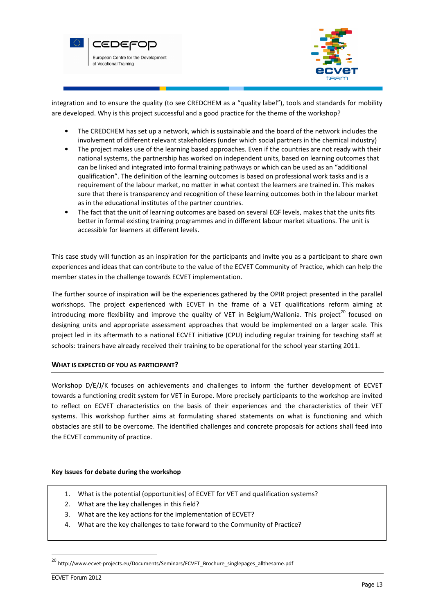



integration and to ensure the quality (to see CREDCHEM as a "quality label"), tools and standards for mobility are developed. Why is this project successful and a good practice for the theme of the workshop?

- The CREDCHEM has set up a network, which is sustainable and the board of the network includes the involvement of different relevant stakeholders (under which social partners in the chemical industry)
- The project makes use of the learning based approaches. Even if the countries are not ready with their national systems, the partnership has worked on independent units, based on learning outcomes that can be linked and integrated into formal training pathways or which can be used as an "additional qualification". The definition of the learning outcomes is based on professional work tasks and is a requirement of the labour market, no matter in what context the learners are trained in. This makes sure that there is transparency and recognition of these learning outcomes both in the labour market as in the educational institutes of the partner countries.
- The fact that the unit of learning outcomes are based on several EQF levels, makes that the units fits better in formal existing training programmes and in different labour market situations. The unit is accessible for learners at different levels.

This case study will function as an inspiration for the participants and invite you as a participant to share own experiences and ideas that can contribute to the value of the ECVET Community of Practice, which can help the member states in the challenge towards ECVET implementation.

The further source of inspiration will be the experiences gathered by the OPIR project presented in the parallel workshops. The project experienced with ECVET in the frame of a VET qualifications reform aiming at introducing more flexibility and improve the quality of VET in Belgium/Wallonia. This project<sup>20</sup> focused on designing units and appropriate assessment approaches that would be implemented on a larger scale. This project led in its aftermath to a national ECVET initiative (CPU) including regular training for teaching staff at schools: trainers have already received their training to be operational for the school year starting 2011.

# WHAT IS EXPECTED OF YOU AS PARTICIPANT?

Workshop D/E/J/K focuses on achievements and challenges to inform the further development of ECVET towards a functioning credit system for VET in Europe. More precisely participants to the workshop are invited to reflect on ECVET characteristics on the basis of their experiences and the characteristics of their VET systems. This workshop further aims at formulating shared statements on what is functioning and which obstacles are still to be overcome. The identified challenges and concrete proposals for actions shall feed into the ECVET community of practice.

#### Key Issues for debate during the workshop

- 1. What is the potential (opportunities) of ECVET for VET and qualification systems?
- 2. What are the key challenges in this field?
- 3. What are the key actions for the implementation of ECVET?
- 4. What are the key challenges to take forward to the Community of Practice?

<sup>&</sup>lt;sup>20</sup> http://www.ecvet-projects.eu/Documents/Seminars/ECVET\_Brochure\_singlepages\_allthesame.pdf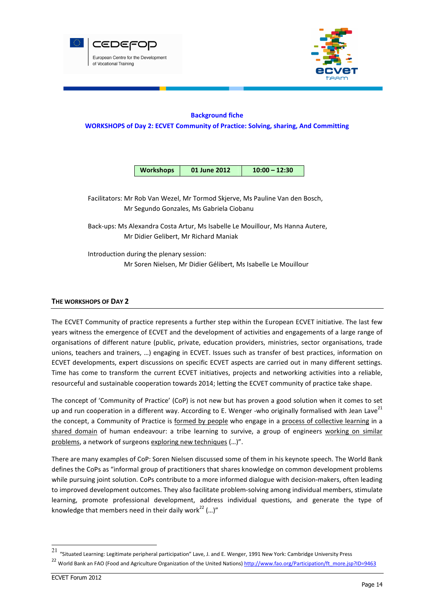



# Background fiche WORKSHOPS of Day 2: ECVET Community of Practice: Solving, sharing, And Committing

| <b>Workshops</b><br>01 June 2012 | $10:00 - 12:30$ |
|----------------------------------|-----------------|
|----------------------------------|-----------------|

Facilitators: Mr Rob Van Wezel, Mr Tormod Skjerve, Ms Pauline Van den Bosch, Mr Segundo Gonzales, Ms Gabriela Ciobanu

Back-ups: Ms Alexandra Costa Artur, Ms Isabelle Le Mouillour, Ms Hanna Autere, Mr Didier Gelibert, Mr Richard Maniak

Introduction during the plenary session: Mr Soren Nielsen, Mr Didier Gélibert, Ms Isabelle Le Mouillour

## THE WORKSHOPS OF DAY 2

The ECVET Community of practice represents a further step within the European ECVET initiative. The last few years witness the emergence of ECVET and the development of activities and engagements of a large range of organisations of different nature (public, private, education providers, ministries, sector organisations, trade unions, teachers and trainers, …) engaging in ECVET. Issues such as transfer of best practices, information on ECVET developments, expert discussions on specific ECVET aspects are carried out in many different settings. Time has come to transform the current ECVET initiatives, projects and networking activities into a reliable, resourceful and sustainable cooperation towards 2014; letting the ECVET community of practice take shape.

The concept of 'Community of Practice' (CoP) is not new but has proven a good solution when it comes to set up and run cooperation in a different way. According to E. Wenger -who originally formalised with Jean Lave<sup>21</sup> the concept, a Community of Practice is formed by people who engage in a process of collective learning in a shared domain of human endeavour: a tribe learning to survive, a group of engineers working on similar problems, a network of surgeons exploring new techniques (…)".

There are many examples of CoP: Soren Nielsen discussed some of them in his keynote speech. The World Bank defines the CoPs as "informal group of practitioners that shares knowledge on common development problems while pursuing joint solution. CoPs contribute to a more informed dialogue with decision-makers, often leading to improved development outcomes. They also facilitate problem-solving among individual members, stimulate learning, promote professional development, address individual questions, and generate the type of knowledge that members need in their daily work<sup>22</sup> (...)"

 21 "Situated Learning: Legitimate peripheral participation" Lave, J. and E. Wenger, 1991 New York: Cambridge University Press

<sup>&</sup>lt;sup>22</sup> World Bank an FAO (Food and Agriculture Organization of the United Nations) http://www.fao.org/Participation/ft\_more.jsp?ID=9463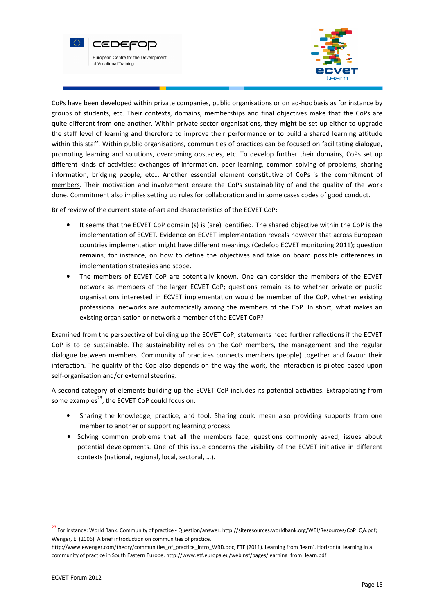



CoPs have been developed within private companies, public organisations or on ad-hoc basis as for instance by groups of students, etc. Their contexts, domains, memberships and final objectives make that the CoPs are quite different from one another. Within private sector organisations, they might be set up either to upgrade the staff level of learning and therefore to improve their performance or to build a shared learning attitude within this staff. Within public organisations, communities of practices can be focused on facilitating dialogue, promoting learning and solutions, overcoming obstacles, etc. To develop further their domains, CoPs set up different kinds of activities: exchanges of information, peer learning, common solving of problems, sharing information, bridging people, etc… Another essential element constitutive of CoPs is the commitment of members. Their motivation and involvement ensure the CoPs sustainability of and the quality of the work done. Commitment also implies setting up rules for collaboration and in some cases codes of good conduct.

Brief review of the current state-of-art and characteristics of the ECVET CoP:

- It seems that the ECVET CoP domain (s) is (are) identified. The shared objective within the CoP is the implementation of ECVET. Evidence on ECVET implementation reveals however that across European countries implementation might have different meanings (Cedefop ECVET monitoring 2011); question remains, for instance, on how to define the objectives and take on board possible differences in implementation strategies and scope.
- The members of ECVET CoP are potentially known. One can consider the members of the ECVET network as members of the larger ECVET CoP; questions remain as to whether private or public organisations interested in ECVET implementation would be member of the CoP, whether existing professional networks are automatically among the members of the CoP. In short, what makes an existing organisation or network a member of the ECVET CoP?

Examined from the perspective of building up the ECVET CoP, statements need further reflections if the ECVET CoP is to be sustainable. The sustainability relies on the CoP members, the management and the regular dialogue between members. Community of practices connects members (people) together and favour their interaction. The quality of the Cop also depends on the way the work, the interaction is piloted based upon self-organisation and/or external steering.

A second category of elements building up the ECVET CoP includes its potential activities. Extrapolating from some examples<sup>23</sup>, the ECVET CoP could focus on:

- Sharing the knowledge, practice, and tool. Sharing could mean also providing supports from one member to another or supporting learning process.
- Solving common problems that all the members face, questions commonly asked, issues about potential developments. One of this issue concerns the visibility of the ECVET initiative in different contexts (national, regional, local, sectoral, …).

<sup>23</sup>For instance: World Bank. Community of practice - Question/answer. http://siteresources.worldbank.org/WBI/Resources/CoP\_QA.pdf; Wenger, E. (2006). A brief introduction on communities of practice.

http://www.ewenger.com/theory/communities\_of\_practice\_intro\_WRD.doc, ETF (2011). Learning from 'learn'. Horizontal learning in a community of practice in South Eastern Europe. http://www.etf.europa.eu/web.nsf/pages/learning\_from\_learn.pdf